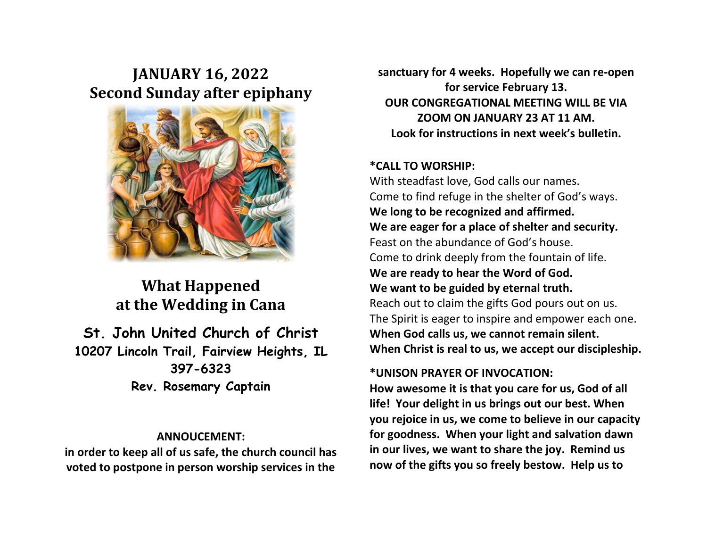# **JANUARY 16, 2022 Second Sunday after epiphany**



## **What Happened at the Wedding in Cana**

## **St. John United Church of Christ 10207 Lincoln Trail, Fairview Heights, IL 397-6323 Rev. Rosemary Captain**

#### **ANNOUCEMENT:**

**in order to keep all of us safe, the church council has voted to postpone in person worship services in the**  **sanctuary for 4 weeks. Hopefully we can re-open for service February 13. OUR CONGREGATIONAL MEETING WILL BE VIA ZOOM ON JANUARY 23 AT 11 AM. Look for instructions in next week's bulletin.**

#### **\*CALL TO WORSHIP:**

With steadfast love, God calls our names. Come to find refuge in the shelter of God's ways. **We long to be recognized and affirmed. We are eager for a place of shelter and security.** Feast on the abundance of God's house. Come to drink deeply from the fountain of life. **We are ready to hear the Word of God. We want to be guided by eternal truth.** Reach out to claim the gifts God pours out on us. The Spirit is eager to inspire and empower each one. **When God calls us, we cannot remain silent. When Christ is real to us, we accept our discipleship.**

#### **\*UNISON PRAYER OF INVOCATION:**

**How awesome it is that you care for us, God of all life! Your delight in us brings out our best. When you rejoice in us, we come to believe in our capacity for goodness. When your light and salvation dawn in our lives, we want to share the joy. Remind us now of the gifts you so freely bestow. Help us to**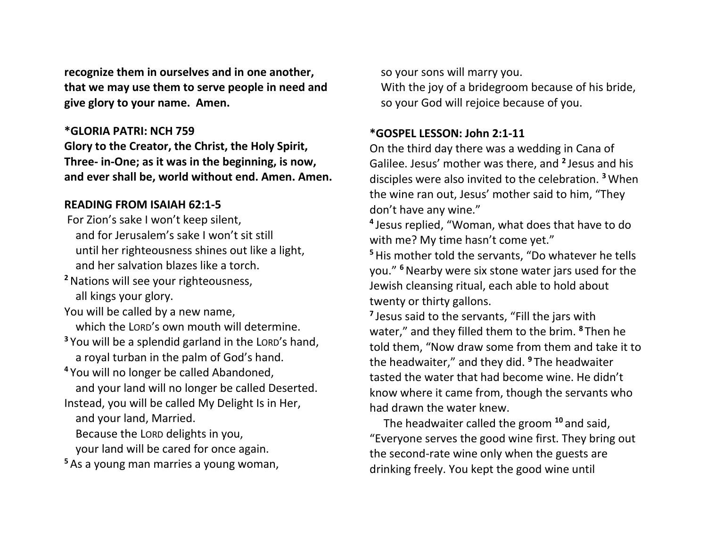**recognize them in ourselves and in one another, that we may use them to serve people in need and give glory to your name. Amen.**

#### **\*GLORIA PATRI: NCH 759**

**Glory to the Creator, the Christ, the Holy Spirit, Three- in-One; as it was in the beginning, is now, and ever shall be, world without end. Amen. Amen.**

### **READING FROM ISAIAH 62:1-5**

- For Zion's sake I won't keep silent, and for Jerusalem's sake I won't sit still until her righteousness shines out like a light, and her salvation blazes like a torch.
- **<sup>2</sup>**Nations will see your righteousness, all kings your glory.
- You will be called by a new name, which the LORD's own mouth will determine.
- **<sup>3</sup>** You will be a splendid garland in the LORD's hand, a royal turban in the palm of God's hand.
- **<sup>4</sup>** You will no longer be called Abandoned, and your land will no longer be called Deserted. Instead, you will be called My Delight Is in Her,
	- and your land, Married.
	- Because the LORD delights in you,
	- your land will be cared for once again.
- **<sup>5</sup>** As a young man marries a young woman,

 so your sons will marry you. With the joy of a bridegroom because of his bride, so your God will rejoice because of you.

## **\*GOSPEL LESSON: John 2:1-11**

On the third day there was a wedding in Cana of Galilee. Jesus' mother was there, and **<sup>2</sup>** Jesus and his disciples were also invited to the celebration. **<sup>3</sup>**When the wine ran out, Jesus' mother said to him, "They don't have any wine."

**4** Jesus replied, "Woman, what does that have to do with me? My time hasn't come yet."

**<sup>5</sup>**His mother told the servants, "Do whatever he tells you." **<sup>6</sup>**Nearby were six stone water jars used for the Jewish cleansing ritual, each able to hold about twenty or thirty gallons.

**7** Jesus said to the servants, "Fill the jars with water," and they filled them to the brim. **<sup>8</sup>** Then he told them, "Now draw some from them and take it to the headwaiter," and they did. **<sup>9</sup>** The headwaiter tasted the water that had become wine. He didn't know where it came from, though the servants who had drawn the water knew.

 The headwaiter called the groom **<sup>10</sup>** and said, "Everyone serves the good wine first. They bring out the second-rate wine only when the guests are drinking freely. You kept the good wine until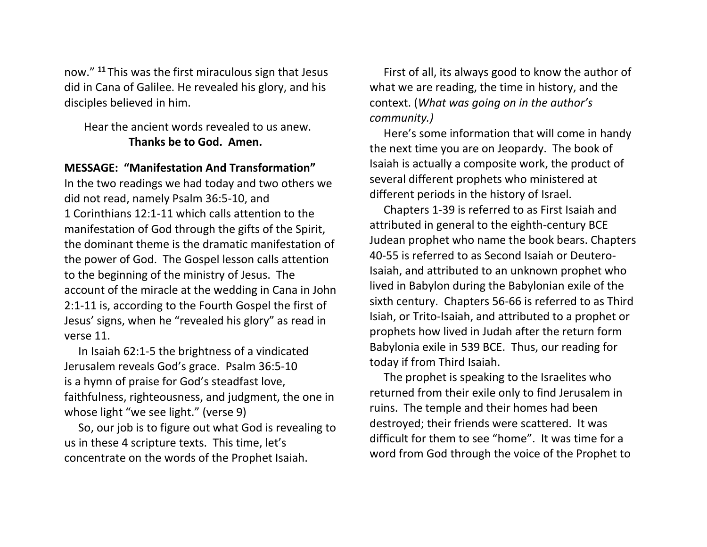now." **<sup>11</sup>** This was the first miraculous sign that Jesus did in Cana of Galilee. He revealed his glory, and his disciples believed in him.

### Hear the ancient words revealed to us anew. **Thanks be to God. Amen.**

#### **MESSAGE: "Manifestation And Transformation"**

In the two readings we had today and two others we did not read, namely Psalm 36:5-10, and 1 Corinthians 12:1-11 which calls attention to the manifestation of God through the gifts of the Spirit, the dominant theme is the dramatic manifestation of the power of God. The Gospel lesson calls attention to the beginning of the ministry of Jesus. The account of the miracle at the wedding in Cana in John 2:1-11 is, according to the Fourth Gospel the first of Jesus' signs, when he "revealed his glory" as read in verse 11.

 In Isaiah 62:1-5 the brightness of a vindicated Jerusalem reveals God's grace. Psalm 36:5-10 is a hymn of praise for God's steadfast love, faithfulness, righteousness, and judgment, the one in whose light "we see light." (verse 9)

 So, our job is to figure out what God is revealing to us in these 4 scripture texts. This time, let's concentrate on the words of the Prophet Isaiah.

 First of all, its always good to know the author of what we are reading, the time in history, and the context. (*What was going on in the author's community.)*

 Here's some information that will come in handy the next time you are on Jeopardy. The book of Isaiah is actually a composite work, the product of several different prophets who ministered at different periods in the history of Israel.

 Chapters 1-39 is referred to as First Isaiah and attributed in general to the eighth-century BCE Judean prophet who name the book bears. Chapters 40-55 is referred to as Second Isaiah or Deutero-Isaiah, and attributed to an unknown prophet who lived in Babylon during the Babylonian exile of the sixth century. Chapters 56-66 is referred to as Third Isiah, or Trito-Isaiah, and attributed to a prophet or prophets how lived in Judah after the return form Babylonia exile in 539 BCE. Thus, our reading for today if from Third Isaiah.

 The prophet is speaking to the Israelites who returned from their exile only to find Jerusalem in ruins. The temple and their homes had been destroyed; their friends were scattered. It was difficult for them to see "home". It was time for a word from God through the voice of the Prophet to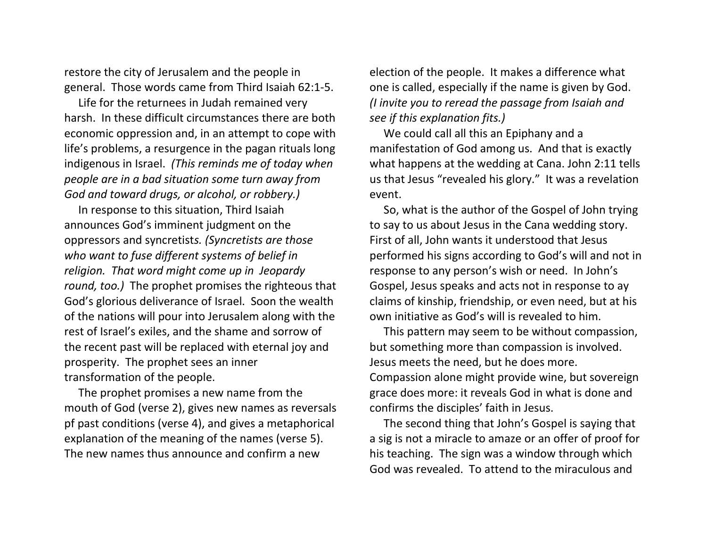restore the city of Jerusalem and the people in general. Those words came from Third Isaiah 62:1-5.

 Life for the returnees in Judah remained very harsh. In these difficult circumstances there are both economic oppression and, in an attempt to cope with life's problems, a resurgence in the pagan rituals long indigenous in Israel. *(This reminds me of today when people are in a bad situation some turn away from God and toward drugs, or alcohol, or robbery.)*

 In response to this situation, Third Isaiah announces God's imminent judgment on the oppressors and syncretist*s. (Syncretists are those who want to fuse different systems of belief in religion. That word might come up in Jeopardy round, too.)* The prophet promises the righteous that God's glorious deliverance of Israel. Soon the wealth of the nations will pour into Jerusalem along with the rest of Israel's exiles, and the shame and sorrow of the recent past will be replaced with eternal joy and prosperity. The prophet sees an inner transformation of the people.

 The prophet promises a new name from the mouth of God (verse 2), gives new names as reversals pf past conditions (verse 4), and gives a metaphorical explanation of the meaning of the names (verse 5). The new names thus announce and confirm a new

election of the people. It makes a difference what one is called, especially if the name is given by God. *(I invite you to reread the passage from Isaiah and see if this explanation fits.)*

 We could call all this an Epiphany and a manifestation of God among us. And that is exactly what happens at the wedding at Cana. John 2:11 tells us that Jesus "revealed his glory." It was a revelation event.

 So, what is the author of the Gospel of John trying to say to us about Jesus in the Cana wedding story. First of all, John wants it understood that Jesus performed his signs according to God's will and not in response to any person's wish or need. In John's Gospel, Jesus speaks and acts not in response to ay claims of kinship, friendship, or even need, but at his own initiative as God's will is revealed to him.

 This pattern may seem to be without compassion, but something more than compassion is involved. Jesus meets the need, but he does more. Compassion alone might provide wine, but sovereign grace does more: it reveals God in what is done and confirms the disciples' faith in Jesus.

 The second thing that John's Gospel is saying that a sig is not a miracle to amaze or an offer of proof for his teaching. The sign was a window through which God was revealed. To attend to the miraculous and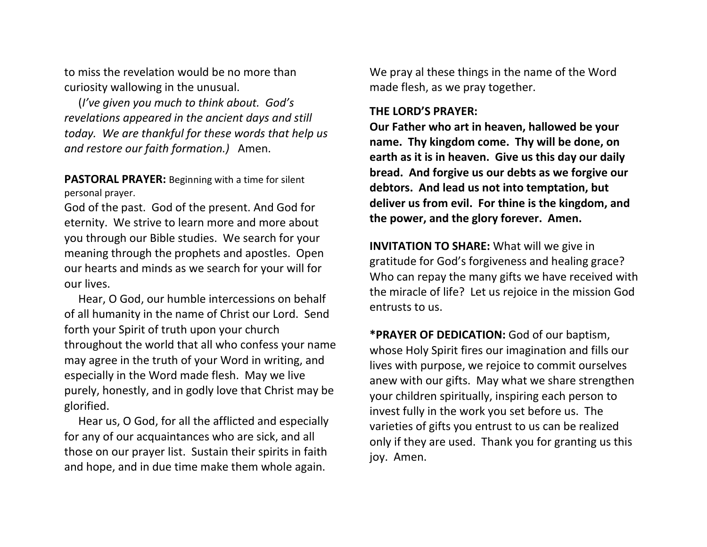to miss the revelation would be no more than curiosity wallowing in the unusual.

 (*I've given you much to think about. God's revelations appeared in the ancient days and still today. We are thankful for these words that help us and restore our faith formation.)* Amen.

**PASTORAL PRAYER:** Beginning with a time for silent personal prayer.

God of the past. God of the present. And God for eternity. We strive to learn more and more about you through our Bible studies. We search for your meaning through the prophets and apostles. Open our hearts and minds as we search for your will for our lives.

 Hear, O God, our humble intercessions on behalf of all humanity in the name of Christ our Lord. Send forth your Spirit of truth upon your church throughout the world that all who confess your name may agree in the truth of your Word in writing, and especially in the Word made flesh. May we live purely, honestly, and in godly love that Christ may be glorified.

 Hear us, O God, for all the afflicted and especially for any of our acquaintances who are sick, and all those on our prayer list. Sustain their spirits in faith and hope, and in due time make them whole again.

We pray al these things in the name of the Word made flesh, as we pray together.

#### **THE LORD'S PRAYER:**

**Our Father who art in heaven, hallowed be your name. Thy kingdom come. Thy will be done, on earth as it is in heaven. Give us this day our daily bread. And forgive us our debts as we forgive our debtors. And lead us not into temptation, but deliver us from evil. For thine is the kingdom, and the power, and the glory forever. Amen.**

**INVITATION TO SHARE:** What will we give in gratitude for God's forgiveness and healing grace? Who can repay the many gifts we have received with the miracle of life? Let us rejoice in the mission God entrusts to us.

**\*PRAYER OF DEDICATION:** God of our baptism, whose Holy Spirit fires our imagination and fills our lives with purpose, we rejoice to commit ourselves anew with our gifts. May what we share strengthen your children spiritually, inspiring each person to invest fully in the work you set before us. The varieties of gifts you entrust to us can be realized only if they are used. Thank you for granting us this joy. Amen.